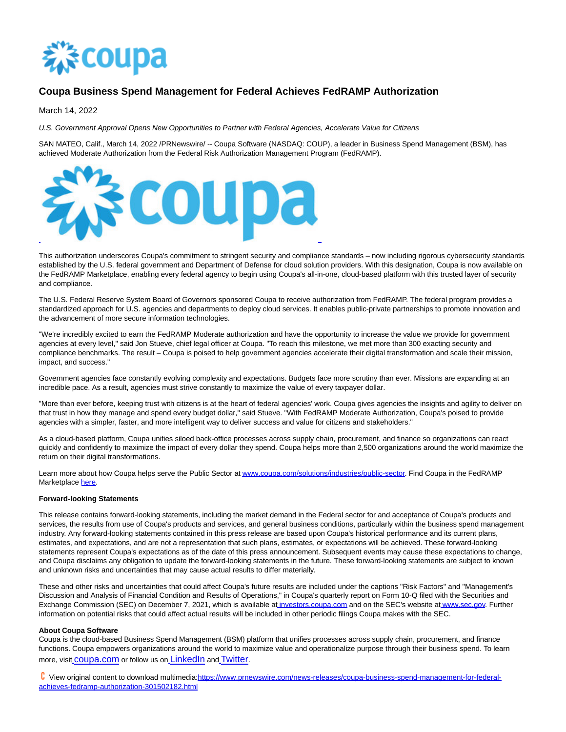

## **Coupa Business Spend Management for Federal Achieves FedRAMP Authorization**

March 14, 2022

U.S. Government Approval Opens New Opportunities to Partner with Federal Agencies, Accelerate Value for Citizens

SAN MATEO, Calif., March 14, 2022 /PRNewswire/ -- Coupa Software (NASDAQ: COUP), a leader in Business Spend Management (BSM), has achieved Moderate Authorization from the Federal Risk Authorization Management Program (FedRAMP).



This authorization underscores Coupa's commitment to stringent security and compliance standards – now including rigorous cybersecurity standards established by the U.S. federal government and Department of Defense for cloud solution providers. With this designation, Coupa is now available on the FedRAMP Marketplace, enabling every federal agency to begin using Coupa's all-in-one, cloud-based platform with this trusted layer of security and compliance.

The U.S. Federal Reserve System Board of Governors sponsored Coupa to receive authorization from FedRAMP. The federal program provides a standardized approach for U.S. agencies and departments to deploy cloud services. It enables public-private partnerships to promote innovation and the advancement of more secure information technologies.

"We're incredibly excited to earn the FedRAMP Moderate authorization and have the opportunity to increase the value we provide for government agencies at every level," said Jon Stueve, chief legal officer at Coupa. "To reach this milestone, we met more than 300 exacting security and compliance benchmarks. The result – Coupa is poised to help government agencies accelerate their digital transformation and scale their mission, impact, and success."

Government agencies face constantly evolving complexity and expectations. Budgets face more scrutiny than ever. Missions are expanding at an incredible pace. As a result, agencies must strive constantly to maximize the value of every taxpayer dollar.

"More than ever before, keeping trust with citizens is at the heart of federal agencies' work. Coupa gives agencies the insights and agility to deliver on that trust in how they manage and spend every budget dollar," said Stueve. "With FedRAMP Moderate Authorization, Coupa's poised to provide agencies with a simpler, faster, and more intelligent way to deliver success and value for citizens and stakeholders."

As a cloud-based platform, Coupa unifies siloed back-office processes across supply chain, procurement, and finance so organizations can react quickly and confidently to maximize the impact of every dollar they spend. Coupa helps more than 2,500 organizations around the world maximize the return on their digital transformations.

Learn more about how Coupa helps serve the Public Sector a[t www.coupa.com/solutions/industries/public-sector.](https://c212.net/c/link/?t=0&l=en&o=3472369-1&h=2692615657&u=http%3A%2F%2Fwww.coupa.com%2Fsolutions%2Findustries%2Fpublic-sector&a=www.coupa.com%2Fsolutions%2Findustries%2Fpublic-sector) Find Coupa in the FedRAMP Marketplace [here.](https://c212.net/c/link/?t=0&l=en&o=3472369-1&h=3251125117&u=https%3A%2F%2Fmarketplace.fedramp.gov%2F%23!%2Fproduct%2Fcoupa-spend-management-for-federal%3Fsort%3DproductName%26productNameSearch%3Dcoupa&a=here)

## **Forward-looking Statements**

This release contains forward-looking statements, including the market demand in the Federal sector for and acceptance of Coupa's products and services, the results from use of Coupa's products and services, and general business conditions, particularly within the business spend management industry. Any forward-looking statements contained in this press release are based upon Coupa's historical performance and its current plans, estimates, and expectations, and are not a representation that such plans, estimates, or expectations will be achieved. These forward-looking statements represent Coupa's expectations as of the date of this press announcement. Subsequent events may cause these expectations to change, and Coupa disclaims any obligation to update the forward-looking statements in the future. These forward-looking statements are subject to known and unknown risks and uncertainties that may cause actual results to differ materially.

These and other risks and uncertainties that could affect Coupa's future results are included under the captions "Risk Factors" and "Management's Discussion and Analysis of Financial Condition and Results of Operations," in Coupa's quarterly report on Form 10-Q filed with the Securities and Exchange Comm[i](https://c212.net/c/link/?t=0&l=en&o=3472369-1&h=3561543070&u=http%3A%2F%2Finvestors.coupa.com%2F&a=%C2%A0)ssion (SEC) on December 7, 2021, which is available at i[nvestors.coupa.com a](https://c212.net/c/link/?t=0&l=en&o=3472369-1&h=222518073&u=http%3A%2F%2Finvestors.coupa.com%2F&a=investors.coupa.com)nd on the SEC's website at [www.sec.gov.](https://c212.net/c/link/?t=0&l=en&o=3472369-1&h=1698360382&u=http%3A%2F%2Fwww.sec.gov%2F&a=www.sec.gov) Further information on potential risks that could affect actual results will be included in other periodic filings Coupa makes with the SEC.

## **About Coupa Software**

Coupa is the cloud-based Business Spend Management (BSM) platform that unifies processes across supply chain, procurement, and finance functions. Coupa empowers organizations around the world to maximize value and operationalize purpose through their business spend. To learn more, visit [coupa.com](https://c212.net/c/link/?t=0&l=en&o=3472369-1&h=2533090718&u=http%3A%2F%2Fwww.coupa.com%2F&a=coupa.com) or follow us on [LinkedIn](https://c212.net/c/link/?t=0&l=en&o=3472369-1&h=3144872880&u=https%3A%2F%2Fwww.linkedin.com%2Fcompany%2Fcoupa-software&a=LinkedIn) and [Twitter](https://c212.net/c/link/?t=0&l=en&o=3472369-1&h=1262519257&u=https%3A%2F%2Ftwitter.com%2FCoupa&a=Twitter).

 View original content to download multimedia[:https://www.prnewswire.com/news-releases/coupa-business-spend-management-for-federal](https://www.prnewswire.com/news-releases/coupa-business-spend-management-for-federal-achieves-fedramp-authorization-301502182.html)achieves-fedramp-authorization-301502182.html